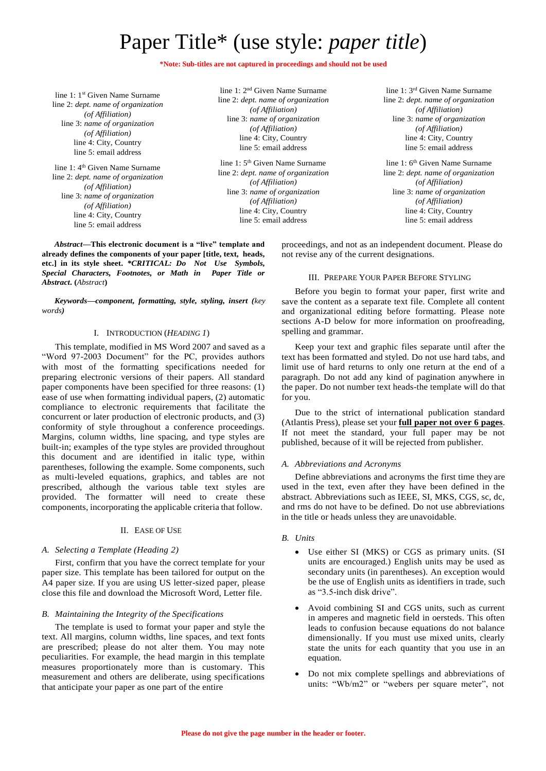# Paper Title\* (use style: *paper title*)

**\*Note: Sub-titles are not captured in proceedings and should not be used**

line 1: 1st Given Name Surname line 2: *dept. name of organization (of Affiliation)* line 3: *name of organization (of Affiliation)* line 4: City, Country line 5: email address

line 1: 4<sup>th</sup> Given Name Surname line 2: *dept. name of organization (of Affiliation)* line 3: *name of organization (of Affiliation)* line 4: City, Country line 5: email address

line 1: 2<sup>nd</sup> Given Name Surname line 2: *dept. name of organization (of Affiliation)* line 3: *name of organization (of Affiliation)* line 4: City, Country line 5: email address

line 1: 5<sup>th</sup> Given Name Surname line 2: *dept. name of organization (of Affiliation)* line 3: *name of organization (of Affiliation)* line 4: City, Country line 5: email address

*Abstract***—This electronic document is a "live" template and already defines the components of your paper [title, text, heads, etc.] in its style sheet.** *\*CRITICAL: Do Not Use Symbols, Special Characters, Footnotes, or Math in Paper Title or Abstract***. (***Abstract***)**

*Keywords—component, formatting, style, styling, insert (key words)*

## I. INTRODUCTION (*HEADING 1*)

This template, modified in MS Word 2007 and saved as a "Word 97-2003 Document" for the PC, provides authors with most of the formatting specifications needed for preparing electronic versions of their papers. All standard paper components have been specified for three reasons: (1) ease of use when formatting individual papers, (2) automatic compliance to electronic requirements that facilitate the concurrent or later production of electronic products, and (3) conformity of style throughout a conference proceedings. Margins, column widths, line spacing, and type styles are built-in; examples of the type styles are provided throughout this document and are identified in italic type, within parentheses, following the example. Some components, such as multi-leveled equations, graphics, and tables are not prescribed, although the various table text styles are provided. The formatter will need to create these components, incorporating the applicable criteria that follow.

## II. EASE OF USE

## *A. Selecting a Template (Heading 2)*

First, confirm that you have the correct template for your paper size. This template has been tailored for output on the A4 paper size. If you are using US letter-sized paper, please close this file and download the Microsoft Word, Letter file.

## *B. Maintaining the Integrity of the Specifications*

The template is used to format your paper and style the text. All margins, column widths, line spaces, and text fonts are prescribed; please do not alter them. You may note peculiarities. For example, the head margin in this template measures proportionately more than is customary. This measurement and others are deliberate, using specifications that anticipate your paper as one part of the entire

line 1: 3rd Given Name Surname line 2: *dept. name of organization (of Affiliation)* line 3: *name of organization (of Affiliation)* line 4: City, Country line 5: email address

line 1: 6<sup>th</sup> Given Name Surname line 2: *dept. name of organization (of Affiliation)* line 3: *name of organization (of Affiliation)* line 4: City, Country line 5: email address

proceedings, and not as an independent document. Please do not revise any of the current designations.

## III. PREPARE YOUR PAPER BEFORE STYLING

Before you begin to format your paper, first write and save the content as a separate text file. Complete all content and organizational editing before formatting. Please note sections A-D below for more information on proofreading, spelling and grammar.

Keep your text and graphic files separate until after the text has been formatted and styled. Do not use hard tabs, and limit use of hard returns to only one return at the end of a paragraph. Do not add any kind of pagination anywhere in the paper. Do not number text heads-the template will do that for you.

Due to the strict of international publication standard (Atlantis Press), please set your **full paper not over 6 pages**. If not meet the standard, your full paper may be not published, because of it will be rejected from publisher.

## *A. Abbreviations and Acronyms*

Define abbreviations and acronyms the first time they are used in the text, even after they have been defined in the abstract. Abbreviations such as IEEE, SI, MKS, CGS, sc, dc, and rms do not have to be defined. Do not use abbreviations in the title or heads unless they are unavoidable.

## *B. Units*

- Use either SI (MKS) or CGS as primary units. (SI units are encouraged.) English units may be used as secondary units (in parentheses). An exception would be the use of English units as identifiers in trade, such as "3.5-inch disk drive".
- Avoid combining SI and CGS units, such as current in amperes and magnetic field in oersteds. This often leads to confusion because equations do not balance dimensionally. If you must use mixed units, clearly state the units for each quantity that you use in an equation.
- Do not mix complete spellings and abbreviations of units: "Wb/m2" or "webers per square meter", not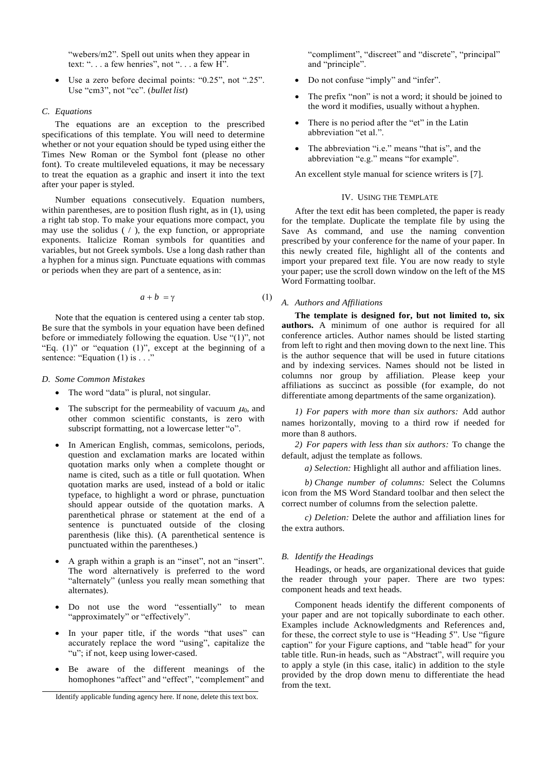"webers/m2". Spell out units when they appear in text: ". . . a few henries", not ". . . a few H".

• Use a zero before decimal points: "0.25", not ".25". Use "cm3", not "cc". (*bullet list*)

#### *C. Equations*

The equations are an exception to the prescribed specifications of this template. You will need to determine whether or not your equation should be typed using either the Times New Roman or the Symbol font (please no other font). To create multileveled equations, it may be necessary to treat the equation as a graphic and insert it into the text after your paper is styled.

Number equations consecutively. Equation numbers, within parentheses, are to position flush right, as in (1), using a right tab stop. To make your equations more compact, you may use the solidus  $( / )$ , the exp function, or appropriate exponents. Italicize Roman symbols for quantities and variables, but not Greek symbols. Use a long dash rather than a hyphen for a minus sign. Punctuate equations with commas or periods when they are part of a sentence, asin:

$$
a + b = \gamma \tag{1}
$$

Note that the equation is centered using a center tab stop. Be sure that the symbols in your equation have been defined before or immediately following the equation. Use "(1)", not "Eq. (1)" or "equation (1)", except at the beginning of a sentence: "Equation  $(1)$  is  $\dots$ "

#### *D. Some Common Mistakes*

- The word "data" is plural, not singular.
- The subscript for the permeability of vacuum  $\mu_0$ , and other common scientific constants, is zero with subscript formatting, not a lowercase letter "o".
- In American English, commas, semicolons, periods, question and exclamation marks are located within quotation marks only when a complete thought or name is cited, such as a title or full quotation. When quotation marks are used, instead of a bold or italic typeface, to highlight a word or phrase, punctuation should appear outside of the quotation marks. A parenthetical phrase or statement at the end of a sentence is punctuated outside of the closing parenthesis (like this). (A parenthetical sentence is punctuated within the parentheses.)
- A graph within a graph is an "inset", not an "insert". The word alternatively is preferred to the word "alternately" (unless you really mean something that alternates).
- Do not use the word "essentially" to mean "approximately" or "effectively".
- In your paper title, if the words "that uses" can accurately replace the word "using", capitalize the "u"; if not, keep using lower-cased.
- Be aware of the different meanings of the homophones "affect" and "effect", "complement" and

"compliment", "discreet" and "discrete", "principal" and "principle".

- Do not confuse "imply" and "infer".
- The prefix "non" is not a word; it should be joined to the word it modifies, usually without a hyphen.
- There is no period after the "et" in the Latin abbreviation "et al.".
- The abbreviation "i.e." means "that is", and the abbreviation "e.g." means "for example".

An excellent style manual for science writers is [7].

#### IV. USING THE TEMPLATE

After the text edit has been completed, the paper is ready for the template. Duplicate the template file by using the Save As command, and use the naming convention prescribed by your conference for the name of your paper. In this newly created file, highlight all of the contents and import your prepared text file. You are now ready to style your paper; use the scroll down window on the left of the MS Word Formatting toolbar.

#### *A. Authors and Affiliations*

**The template is designed for, but not limited to, six authors.** A minimum of one author is required for all conference articles. Author names should be listed starting from left to right and then moving down to the next line. This is the author sequence that will be used in future citations and by indexing services. Names should not be listed in columns nor group by affiliation. Please keep your affiliations as succinct as possible (for example, do not differentiate among departments of the same organization).

*1) For papers with more than six authors:* Add author names horizontally, moving to a third row if needed for more than 8 authors.

*2) For papers with less than six authors:* To change the default, adjust the template as follows.

*a) Selection:* Highlight all author and affiliation lines.

*b) Change number of columns:* Select the Columns icon from the MS Word Standard toolbar and then select the correct number of columns from the selection palette.

*c) Deletion:* Delete the author and affiliation lines for the extra authors.

#### *B. Identify the Headings*

Headings, or heads, are organizational devices that guide the reader through your paper. There are two types: component heads and text heads.

Component heads identify the different components of your paper and are not topically subordinate to each other. Examples include Acknowledgments and References and, for these, the correct style to use is "Heading 5". Use "figure caption" for your Figure captions, and "table head" for your table title. Run-in heads, such as "Abstract", will require you to apply a style (in this case, italic) in addition to the style provided by the drop down menu to differentiate the head from the text.

Identify applicable funding agency here. If none, delete this text box.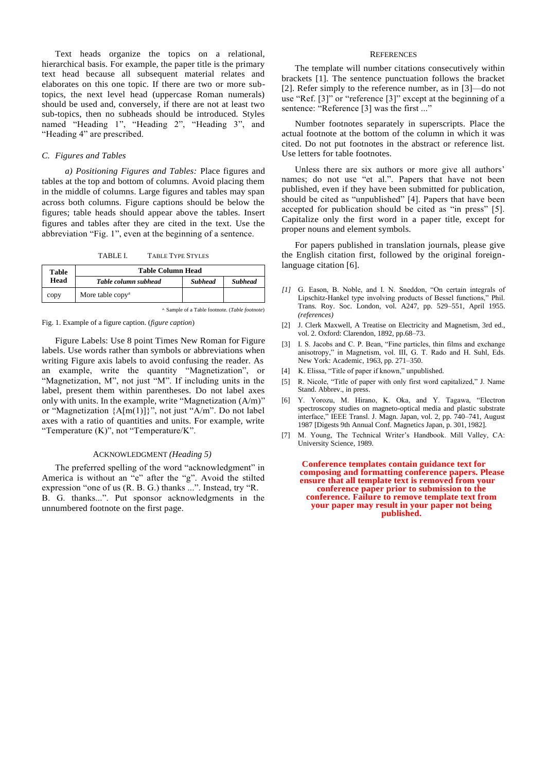Text heads organize the topics on a relational, hierarchical basis. For example, the paper title is the primary text head because all subsequent material relates and elaborates on this one topic. If there are two or more subtopics, the next level head (uppercase Roman numerals) should be used and, conversely, if there are not at least two sub-topics, then no subheads should be introduced. Styles named "Heading 1", "Heading 2", "Heading 3", and "Heading 4" are prescribed.

#### *C. Figures and Tables*

*a) Positioning Figures and Tables:* Place figures and tables at the top and bottom of columns. Avoid placing them in the middle of columns. Large figures and tables may span across both columns. Figure captions should be below the figures; table heads should appear above the tables. Insert figures and tables after they are cited in the text. Use the abbreviation "Fig. 1", even at the beginning of a sentence.

TABLE I. TABLE TYPE STYLES

| Table<br>Head | <b>Table Column Head</b>     |                |                |
|---------------|------------------------------|----------------|----------------|
|               | Table column subhead         | <b>Subhead</b> | <b>Subhead</b> |
| copy          | More table copy <sup>a</sup> |                |                |

a. Sample of a Table footnote. (*Table footnote*)

Fig. 1. Example of a figure caption. (*figure caption*)

Figure Labels: Use 8 point Times New Roman for Figure labels. Use words rather than symbols or abbreviations when writing Figure axis labels to avoid confusing the reader. As an example, write the quantity "Magnetization", or "Magnetization, M", not just "M". If including units in the label, present them within parentheses. Do not label axes only with units. In the example, write "Magnetization (A/m)" or "Magnetization {A[m(1)]}", not just "A/m". Do not label axes with a ratio of quantities and units. For example, write "Temperature (K)", not "Temperature/K".

#### ACKNOWLEDGMENT *(Heading 5)*

The preferred spelling of the word "acknowledgment" in America is without an "e" after the "g". Avoid the stilted expression "one of us (R. B. G.) thanks ...". Instead, try "R. B. G. thanks...". Put sponsor acknowledgments in the unnumbered footnote on the first page.

#### **REFERENCES**

The template will number citations consecutively within brackets [1]. The sentence punctuation follows the bracket [2]. Refer simply to the reference number, as in [3]—do not use "Ref. [3]" or "reference [3]" except at the beginning of a sentence: "Reference [3] was the first ..."

Number footnotes separately in superscripts. Place the actual footnote at the bottom of the column in which it was cited. Do not put footnotes in the abstract or reference list. Use letters for table footnotes.

Unless there are six authors or more give all authors' names; do not use "et al.". Papers that have not been published, even if they have been submitted for publication, should be cited as "unpublished" [4]. Papers that have been accepted for publication should be cited as "in press" [5]. Capitalize only the first word in a paper title, except for proper nouns and element symbols.

For papers published in translation journals, please give the English citation first, followed by the original foreignlanguage citation [6].

- *[1]* G. Eason, B. Noble, and I. N. Sneddon, "On certain integrals of Lipschitz-Hankel type involving products of Bessel functions," Phil. Trans. Roy. Soc. London, vol. A247, pp. 529–551, April 1955. *(references)*
- [2] J. Clerk Maxwell, A Treatise on Electricity and Magnetism, 3rd ed., vol. 2. Oxford: Clarendon, 1892, pp.68–73.
- [3] I. S. Jacobs and C. P. Bean, "Fine particles, thin films and exchange anisotropy," in Magnetism, vol. III, G. T. Rado and H. Suhl, Eds. New York: Academic, 1963, pp. 271–350.
- [4] K. Elissa, "Title of paper if known," unpublished.
- [5] R. Nicole, "Title of paper with only first word capitalized," J. Name Stand. Abbrev., in press.
- [6] Y. Yorozu, M. Hirano, K. Oka, and Y. Tagawa, "Electron spectroscopy studies on magneto-optical media and plastic substrate interface," IEEE Transl. J. Magn. Japan, vol. 2, pp. 740–741, August 1987 [Digests 9th Annual Conf. Magnetics Japan, p. 301, 1982].
- [7] M. Young, The Technical Writer's Handbook. Mill Valley, CA: University Science, 1989.

**Conference templates contain guidance text for composing and formatting conference papers. Please ensure that all template text is removed from your conference paper prior to submission to the conference. Failure to remove template text from your paper may result in your paper not being published.**